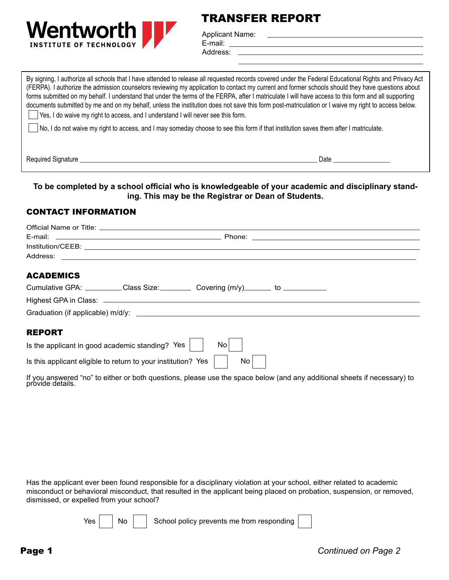

## TRANSFER REPORT

Applicant Name: E-mail:

Address:

By signing, I authorize all schools that I have attended to release all requested records covered under the Federal Educational Rights and Privacy Act (FERPA). I authorize the admission counselors reviewing my application to contact my current and former schools should they have questions about forms submitted on my behalf. I understand that under the terms of the FERPA, after I matriculate I will have access to this form and all supporting documents submitted by me and on my behalf, unless the institution does not save this form post-matriculation or I waive my right to access below. Yes, I do waive my right to access, and I understand I will never see this form. No, I do not waive my right to access, and I may someday choose to see this form if that institution saves them after I matriculate. Required Signature \_\_\_\_\_\_\_\_\_\_\_\_\_\_\_\_\_\_\_\_\_\_\_\_\_\_\_\_\_\_\_\_\_\_\_\_\_\_\_\_\_\_\_\_\_\_\_\_\_\_\_\_\_\_\_\_\_\_\_\_\_\_\_\_\_\_\_\_\_\_\_ Date \_\_\_\_\_\_\_\_\_\_\_\_\_\_\_\_\_

## **To be completed by a school official who is knowledgeable of your academic and disciplinary standing. This may be the Registrar or Dean of Students.**

## CONTACT INFORMATION

| Official Name or Title: example and a series of the series of the series of the series of the series of the series of the series of the series of the series of the series of the series of the series of the series of the se |  |
|--------------------------------------------------------------------------------------------------------------------------------------------------------------------------------------------------------------------------------|--|
|                                                                                                                                                                                                                                |  |
|                                                                                                                                                                                                                                |  |
|                                                                                                                                                                                                                                |  |
| <b>ACADEMICS</b>                                                                                                                                                                                                               |  |
| Cumulative GPA: __________Class Size: ___________Covering (m/y) ________ to ____________                                                                                                                                       |  |
|                                                                                                                                                                                                                                |  |
|                                                                                                                                                                                                                                |  |
| <b>REPORT</b>                                                                                                                                                                                                                  |  |
| Is the applicant in good academic standing? Yes $ $<br>No                                                                                                                                                                      |  |
| No.<br>Is this applicant eligible to return to your institution? Yes                                                                                                                                                           |  |

If you answered "no" to either or both questions, please use the space below (and any additional sheets if necessary) to provide details.

Has the applicant ever been found responsible for a disciplinary violation at your school, either related to academic misconduct or behavioral misconduct, that resulted in the applicant being placed on probation, suspension, or removed, dismissed, or expelled from your school?

 $Yes \mid \text{No} \mid$  School policy prevents me from responding